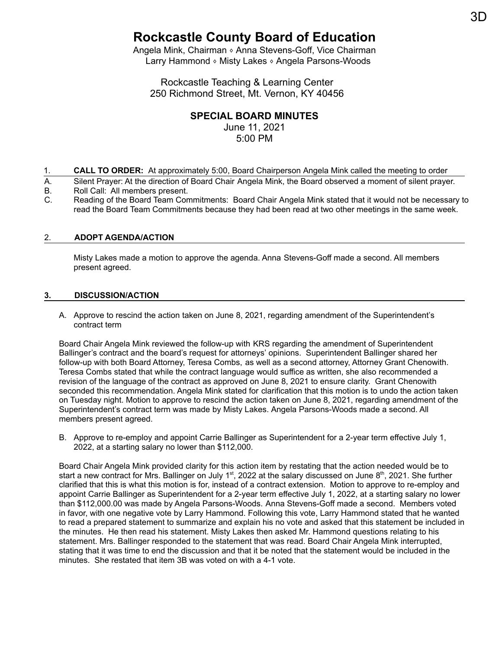# **Rockcastle County Board of Education**

Angela Mink, Chairman  $\circ$  Anna Stevens-Goff, Vice Chairman Larry Hammond ⬧ Misty Lakes ⬧ Angela Parsons-Woods

Rockcastle Teaching & Learning Center 250 Richmond Street, Mt. Vernon, KY 40456

## **SPECIAL BOARD MINUTES**

June 11, 2021 5:00 PM

- 1. **CALL TO ORDER:** At approximately 5:00, Board Chairperson Angela Mink called the meeting to order
- A. Silent Prayer: At the direction of Board Chair Angela Mink, the Board observed a moment of silent prayer.<br>B. Boll Call: All members present. Roll Call: All members present.
- C. Reading of the Board Team Commitments: Board Chair Angela Mink stated that it would not be necessary to read the Board Team Commitments because they had been read at two other meetings in the same week.

### 2. **ADOPT AGENDA/ACTION**

Misty Lakes made a motion to approve the agenda. Anna Stevens-Goff made a second. All members present agreed.

### **3. DISCUSSION/ACTION**

A. Approve to rescind the action taken on June 8, 2021, regarding amendment of the Superintendent's contract term

Board Chair Angela Mink reviewed the follow-up with KRS regarding the amendment of Superintendent Ballinger's contract and the board's request for attorneys' opinions. Superintendent Ballinger shared her follow-up with both Board Attorney, Teresa Combs, as well as a second attorney, Attorney Grant Chenowith. Teresa Combs stated that while the contract language would suffice as written, she also recommended a revision of the language of the contract as approved on June 8, 2021 to ensure clarity. Grant Chenowith seconded this recommendation. Angela Mink stated for clarification that this motion is to undo the action taken on Tuesday night. Motion to approve to rescind the action taken on June 8, 2021, regarding amendment of the Superintendent's contract term was made by Misty Lakes. Angela Parsons-Woods made a second. All members present agreed.

B. Approve to re-employ and appoint Carrie Ballinger as Superintendent for a 2-year term effective July 1, 2022, at a starting salary no lower than \$112,000.

Board Chair Angela Mink provided clarity for this action item by restating that the action needed would be to start a new contract for Mrs. Ballinger on July 1<sup>st</sup>, 2022 at the salary discussed on June 8<sup>th</sup>, 2021. She further clarified that this is what this motion is for, instead of a contract extension. Motion to approve to re-employ and appoint Carrie Ballinger as Superintendent for a 2-year term effective July 1, 2022, at a starting salary no lower than \$112,000.00 was made by Angela Parsons-Woods. Anna Stevens-Goff made a second. Members voted in favor, with one negative vote by Larry Hammond. Following this vote, Larry Hammond stated that he wanted to read a prepared statement to summarize and explain his no vote and asked that this statement be included in the minutes. He then read his statement. Misty Lakes then asked Mr. Hammond questions relating to his statement. Mrs. Ballinger responded to the statement that was read. Board Chair Angela Mink interrupted, stating that it was time to end the discussion and that it be noted that the statement would be included in the minutes. She restated that item 3B was voted on with a 4-1 vote.